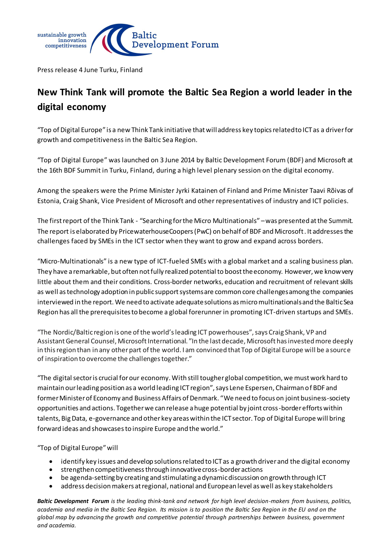

Press release 4 June Turku, Finland

## **New Think Tank will promote the Baltic Sea Region a world leader in the digital economy**

"Top of Digital Europe" is a new Think Tank initiative that will address key topics related to ICT as a driver for growth and competitiveness in the Baltic Sea Region.

"Top of Digital Europe" was launched on 3 June 2014 by Baltic Development Forum (BDF) and Microsoft at the 16th BDF Summit in Turku, Finland, during a high level plenary session on the digital economy.

Among the speakers were the Prime Minister Jyrki Katainen of Finland and Prime Minister Taavi Rõivas of Estonia, Craig Shank, Vice President of Microsoft and other representatives of industry and ICT policies.

The first report of the Think Tank - "Searching for the Micro Multinationals" –was presented at the Summit. The report is elaborated by PricewaterhouseCoopers (PwC) on behalf of BDF and Microsoft. It addressesthe challenges faced by SMEs in the ICT sector when they want to grow and expand across borders.

"Micro-Multinationals" is a new type of ICT-fueled SMEs with a global market and a scaling business plan. They have a remarkable, but often not fully realized potential to boost the economy. However, we knowvery little about them and their conditions. Cross-border networks, education and recruitment of relevant skills as well astechnology adoption in public support systems are common core challenges among the companies interviewed in the report. We need to activate adequate solutions as micro multinationals and the Baltic Sea Region has all the prerequisites to become a global forerunner in promoting ICT-driven startups and SMEs.

"The Nordic/Baltic region is one of the world's leading ICT powerhouses", says Craig Shank, VP and Assistant General Counsel, Microsoft International. "In the last decade, Microsoft has invested more deeply in this region than in any other part of the world. I am convinced that Top of Digital Europe will be a source of inspiration to overcome the challenges together."

"The digital sector is crucial for our economy. With still tougher global competition, we must work hard to maintain our leading position as a world leading ICT region", says Lene Espersen, Chairman of BDF and former Minister of Economy and Business Affairs of Denmark. "We need to focus on joint business-society opportunities and actions. Together we can release a huge potential by joint cross-border efforts within talents, Big Data, e-governance and other key areas within the ICT sector. Top of Digital Europe will bring forward ideas and showcases to inspire Europe and the world."

"Top of Digital Europe" will

- identify key issues and develop solutions related to ICT as a growth driver and the digital economy
- strengthen competitiveness through innovative cross-border actions
- be agenda-setting by creating and stimulating a dynamic discussion on growth through ICT
- address decision makers at regional, national and European level as well as key stakeholders

*Baltic Development Forum is the leading think-tank and network for high level decision-makers from business, politics, academia and media in the Baltic Sea Region. Its mission is to position the Baltic Sea Region in the EU and on the global map by advancing the growth and competitive potential through partnerships between business, government and academia.*